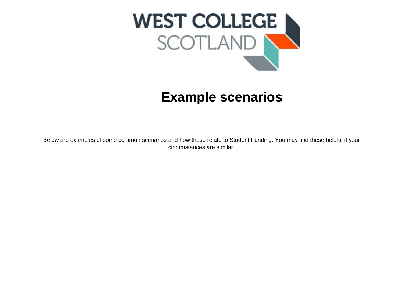

## **Example scenarios**

Below are examples of some common scenarios and how these relate to Student Funding. You may find these helpful if your circumstances are similar.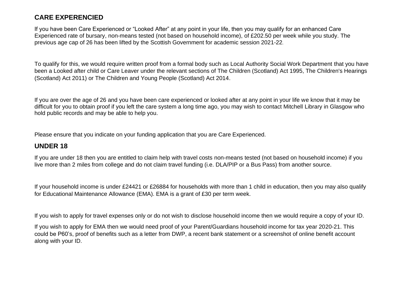## **CARE EXPERENCIED**

If you have been Care Experienced or "Looked After" at any point in your life, then you may qualify for an enhanced Care Experienced rate of bursary, non-means tested (not based on household income), of £202.50 per week while you study. The previous age cap of 26 has been lifted by the Scottish Government for academic session 2021-22.

To qualify for this, we would require written proof from a formal body such as Local Authority Social Work Department that you have been a Looked after child or Care Leaver under the relevant sections of The Children (Scotland) Act 1995, The Children's Hearings (Scotland) Act 2011) or The Children and Young People (Scotland) Act 2014.

If you are over the age of 26 and you have been care experienced or looked after at any point in your life we know that it may be difficult for you to obtain proof if you left the care system a long time ago, you may wish to contact Mitchell Library in Glasgow who hold public records and may be able to help you.

Please ensure that you indicate on your funding application that you are Care Experienced.

## **UNDER 18**

If you are under 18 then you are entitled to claim help with travel costs non-means tested (not based on household income) if you live more than 2 miles from college and do not claim travel funding (i.e. DLA/PIP or a Bus Pass) from another source.

If your household income is under £24421 or £26884 for households with more than 1 child in education, then you may also qualify for Educational Maintenance Allowance (EMA). EMA is a grant of £30 per term week.

If you wish to apply for travel expenses only or do not wish to disclose household income then we would require a copy of your ID.

If you wish to apply for EMA then we would need proof of your Parent/Guardians household income for tax year 2020-21. This could be P60's, proof of benefits such as a letter from DWP, a recent bank statement or a screenshot of online benefit account along with your ID.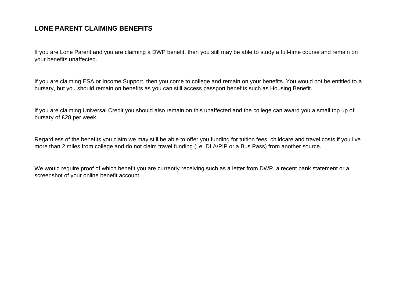## **LONE PARENT CLAIMING BENEFITS**

If you are Lone Parent and you are claiming a DWP benefit, then you still may be able to study a full-time course and remain on your benefits unaffected.

If you are claiming ESA or Income Support, then you come to college and remain on your benefits. You would not be entitled to a bursary, but you should remain on benefits as you can still access passport benefits such as Housing Benefit.

If you are claiming Universal Credit you should also remain on this unaffected and the college can award you a small top up of bursary of £28 per week.

Regardless of the benefits you claim we may still be able to offer you funding for tuition fees, childcare and travel costs if you live more than 2 miles from college and do not claim travel funding (i.e. DLA/PIP or a Bus Pass) from another source.

We would require proof of which benefit you are currently receiving such as a letter from DWP, a recent bank statement or a screenshot of your online benefit account.